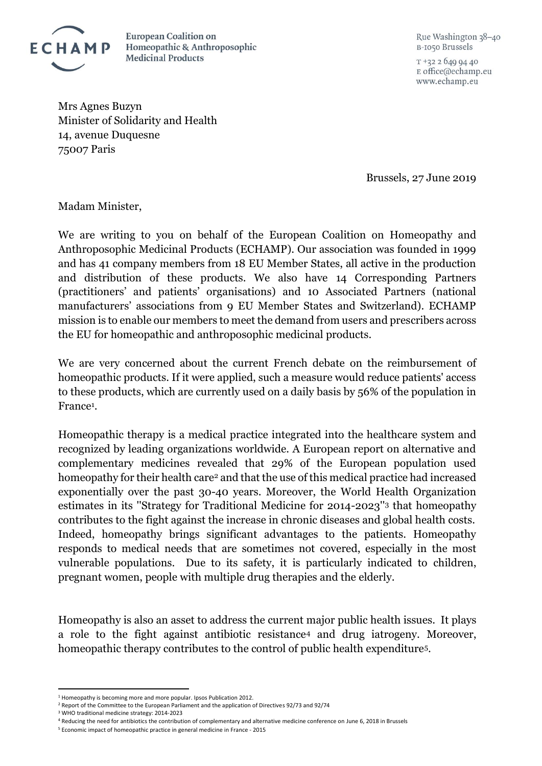

**European Coalition on** Homeopathic & Anthroposophic **Medicinal Products** 

Rue Washington 38-40 B-1050 Brussels

 $T + 3226499440$ E office@echamp.eu www.echamp.eu

Mrs Agnes Buzyn Minister of Solidarity and Health 14, avenue Duquesne 75007 Paris

Brussels, 27 June 2019

Madam Minister,

We are writing to you on behalf of the European Coalition on Homeopathy and Anthroposophic Medicinal Products (ECHAMP). Our association was founded in 1999 and has 41 company members from 18 EU Member States, all active in the production and distribution of these products. We also have 14 Corresponding Partners (practitioners' and patients' organisations) and 10 Associated Partners (national manufacturers' associations from 9 EU Member States and Switzerland). ECHAMP mission is to enable our members to meet the demand from users and prescribers across the EU for homeopathic and anthroposophic medicinal products.

We are very concerned about the current French debate on the reimbursement of homeopathic products. If it were applied, such a measure would reduce patients' access to these products, which are currently used on a daily basis by 56% of the population in France<sup>1</sup>.

Homeopathic therapy is a medical practice integrated into the healthcare system and recognized by leading organizations worldwide. A European report on alternative and complementary medicines revealed that 29% of the European population used homeopathy for their health care<sup>2</sup> and that the use of this medical practice had increased exponentially over the past 30-40 years. Moreover, the World Health Organization estimates in its ''Strategy for Traditional Medicine for 2014-2023''<sup>3</sup> that homeopathy contributes to the fight against the increase in chronic diseases and global health costs. Indeed, homeopathy brings significant advantages to the patients. Homeopathy responds to medical needs that are sometimes not covered, especially in the most vulnerable populations. Due to its safety, it is particularly indicated to children, pregnant women, people with multiple drug therapies and the elderly.

Homeopathy is also an asset to address the current major public health issues. It plays a role to the fight against antibiotic resistance<sup>4</sup> and drug iatrogeny. Moreover, homeopathic therapy contributes to the control of public health expenditure5.

 $\overline{\phantom{a}}$ 

<sup>1</sup> [Homeopathy is becoming more and](https://www.ipsos.com/fr-fr/lhomeopathie-fait-de-plus-en-plus-dadeptes) more popular. Ipsos Publication 2012.

<sup>2</sup> [Report of the Committee to the European Parliament and the application of Directives 92/73 and 92/74](https://www.hri-research.org/wp-content/uploads/2014/11/Commission_Report_Dir_92-73_and_92-74_Homeo_July_1997.pdf) 

<sup>3</sup> [WHO traditional medicine strategy: 2014-2023](https://www.who.int/medicines/publications/traditional/trm_strategy14_23/en/)

<sup>4</sup> [Reducing the need for antibiotics the contribution of complementary and alternative medicine conference on June 6,](http://cam-amr-conference.eu/wp-content/uploads/2019/01/CAM-AMR-EUROCAM-Post-Conference-Paper-2018.pdf) 2018 in Brussels

<sup>5</sup> [Economic impact of homeopathic practice in general medicine in France](https://www.ncbi.nlm.nih.gov/pmc/articles/PMC449508) - 2015